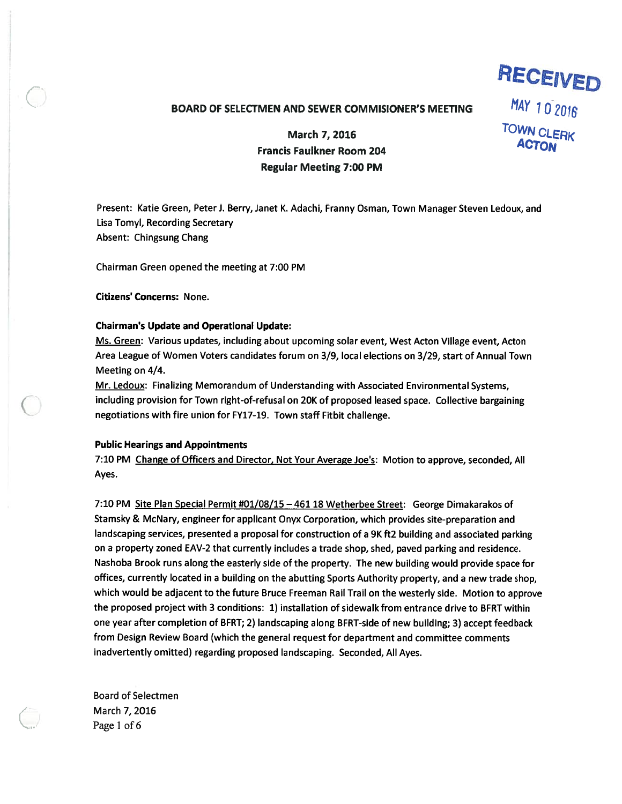# BOARD OF SELECTMEN AND SEWER COMMISIONER'S MEETING  $MAY$  1 0 2016

March 7, 2016<br>
March 7, 2016<br>
MacTON ACTON Francis Faulkner Room 204 Regular Meeting 7:00 PM

RECEIVED

Present: Katie Green, Peter J. Berry, Janet K. Adachi, Franny Osman, Town Manager Steven Ledoux, and Lisa Tomyl, Recording Secretary Absent: Chingsung Chang

Chairman Green opened the meeting at 7:00 PM

Citizens' Concerns: None.

## Chairman's Update and Operational Update:

Ms. Green: Various updates, including about upcoming solar event, West Acton Village event, Acton Area League of Women Voters candidates forum on 3/9, local elections on 3/29, start of Annual Town Meeting on 4/4.

Mr. Ledoux: Finalizing Memorandum of Understanding with Associated Environmental Systems, including provision for Town right-of-refusal on 20K of proposed leased space. Collective bargaining negotiations with fire union for FY17-19. Town staff Fitbit challenge.

#### Public Hearings and Appointments

7:10 PM Change of Officers and Director, Not Your Average Joe's: Motion to approve, seconded, All Ayes.

7:10 PM Site Plan Special Permit #01/08/15 - 461 18 Wetherbee Street: George Dimakarakos of Stamsky & McNary, engineer for applicant Onyx Corporation, which provides site-preparation and landscaping services, presented <sup>a</sup> proposa<sup>l</sup> for construction of <sup>a</sup> 9K ft2 building and associated parking on <sup>a</sup> property zoned EAV-2 that currently includes <sup>a</sup> trade shop, shed, paved parking and residence. Nashoba Brook runs along the easterly side of the property. The new building would provide space for offices, currently located in <sup>a</sup> building on the abutting Sports Authority property, and <sup>a</sup> new trade shop, which would be adjacent to the future Bruce Freeman Rail Trail on the westerly side. Motion to approve the proposed project with 3 conditions: 1) installation of sidewalk from entrance drive to BFRT within one year after completion of BFRT; 2) landscaping along BFRT-side of new building; 3) accep<sup>t</sup> feedback from Design Review Board (which the general reques<sup>t</sup> for department and committee comments inadvertently omitted) regarding proposed landscaping. Seconded, All Ayes.

Board of Selectmen March 7, 2016 Page 1 of 6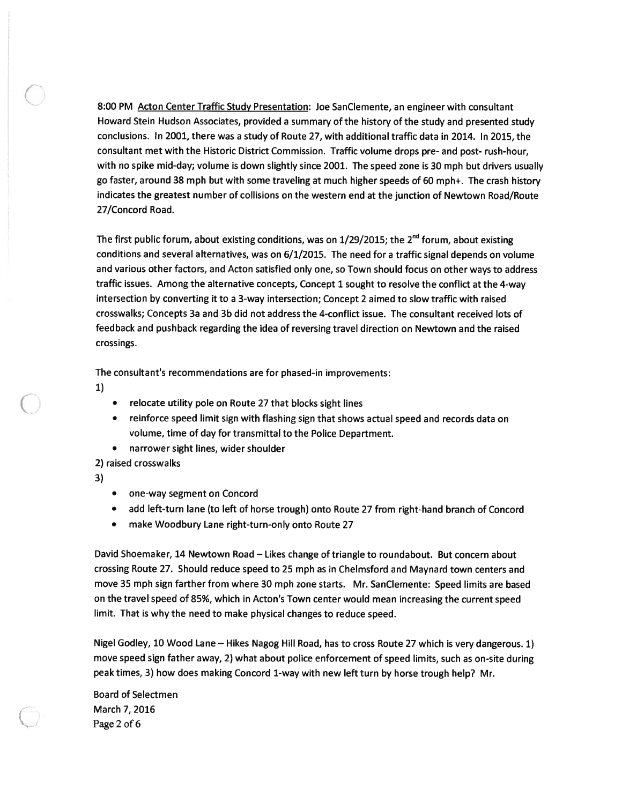8:00 PM Acton Center Traffic Study Presentation: Joe SanClemente, an engineer with consultant Howard Stein Hudson Associates, provided <sup>a</sup> summary of the history of the study and presented study conclusions. In 2001, there was <sup>a</sup> study of Route 27, with additional traffic data in 2014. In 2015, the consultant met with the Historic District Commission. Traffic volume drops pre- and post- rush-hour, with no spike mid-day; volume is down slightly since 2001. The spee<sup>d</sup> zone is <sup>30</sup> mp<sup>h</sup> but drivers usually go faster, around <sup>38</sup> mp<sup>h</sup> but with some traveling at much higher speeds of <sup>60</sup> mph+. The crash history indicates the greatest number of collisions on the western end at the junction of Newtown Road/Route 27/Concord Road.

The first public forum, about existing conditions, was on  $1/29/2015$ ; the  $2<sup>nd</sup>$  forum, about existing conditions and several alternatives, was on 6/1/2015. The need for <sup>a</sup> traffic signal depends on volume and various other factors, and Acton satisfied only one, so Town should focus on other ways to address traffic issues. Among the alternative concepts, Concept <sup>1</sup> sought to resolve the conflict at the 4-way intersection by converting it to <sup>a</sup> 3-way intersection; Concept 2 aimed to slow traffic with raised crosswalks; Concepts 3a and 3b did not address the 4-conflict issue. The consultant received lots of feedback and pushback regarding the idea of reversing travel direction on Newtown and the raised crossings.

The consultant's recommendations are for phased-in improvements:

1)

- •relocate utility pole on Route 27 that blocks sight lines
- • reinforce speed limit sign with flashing sign that shows actual speed and records data on volume, time of day for transmittal to the Police Department.
- narrower sight lines, wider shoulder

2) raised crosswalks

3)

- one-way segmen<sup>t</sup> on Concord
- •add left-turn lane (to left of horse trough) onto Route 27 from right-hand branch of Concord
- •make Woodbury Lane right-turn-only onto Route 27

David Shoemaker, 14 Newtown Road — Likes change of triangle to roundabout. But concern about crossing Route 27. Should reduce speed to 25 mp<sup>h</sup> as in Chelmsford and Maynard town centers and move <sup>35</sup> mp<sup>h</sup> sign farther from where <sup>30</sup> mp<sup>h</sup> zone starts. Mr. SanClemente: Speed limits are based on the travel speed of 85%, which in Acton's Town center would mean increasing the current speed limit. That is why the need to make <sup>p</sup>hysical changes to reduce speed.

Nigel Godley, <sup>10</sup> Wood Lane — Hikes Nagog Hill Road, has to cross Route <sup>27</sup> which is very dangerous. 1) move spee<sup>d</sup> sign father away, 2) what about police enforcement of spee<sup>d</sup> limits, such as on-site during pea<sup>k</sup> times, 3) how does making Concord 1-way with new left turn by horse trough help? Mr.

Board of Selectmen March 7, 2016 Page 2 of 6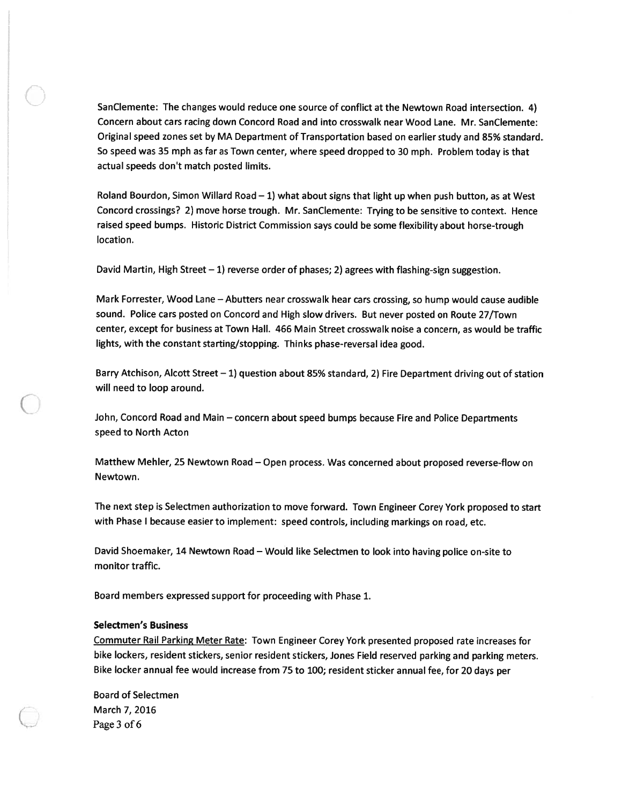SanClemente: The changes would reduce one source of conflict at the Newtown Road intersection. 4) Concern about cars racing down Concord Road and into crosswalk near Wood Lane. Mr. SanClemente: Original speed zones set by MA Department of Transportation based on earlier study and 85% standard. So speed was 35 mph as far as Town center, where speed dropped to 30 mph. Problem today is that actual speeds don't match posted limits.

Roland Bourdon, Simon Willard Road — 1) what about signs that light up when pus<sup>h</sup> button, as at West Concord crossings? 2) move horse trough. Mr. SanClemente: Trying to be sensitive to context. Hence raised speed bumps. Historic District Commission says could be some flexibility about horse-trough location.

David Martin, High Street — 1) reverse order of phases; 2) agrees with flashing-sign suggestion.

Mark Forrester, Wood Lane — Abutters near crosswalk hear cars crossing, so hump would cause audible sound. Police cars posted on Concord and High slow drivers. But never posted on Route 27/Town center, excep<sup>t</sup> for business at Town Hall. 466 Main Street crosswalk noise <sup>a</sup> concern, as would be traffic lights, with the constant starting/stopping. Thinks <sup>p</sup>hase-reversal idea good.

Barry Atchison, Alcott Street — 1) question about 85% standard, 2) Fire Department driving out of station will need to loop around.

John, Concord Road and Main — concern about spee<sup>d</sup> bumps because Fire and Police Departments speed to North Acton

Matthew Mehler, <sup>25</sup> Newtown Road — Open process. Was concerned about propose<sup>d</sup> reverse-flow on Newtown.

The next step is Selectmen authorization to move forward. Town Engineer Corey York proposed to start with Phase <sup>I</sup> because easier to implement: speed controls, including markings on road, etc.

David Shoemaker, <sup>14</sup> Newtown Road — Would like Selectmen to look into having police on-site to monitor traffic.

Board members expressed suppor<sup>t</sup> for proceeding with Phase 1.

### Selectmen's Business

Commuter Rail Parking Meter Rate: Town Engineer Corey York presented propose<sup>d</sup> rate increases for bike lockers, resident stickers, senior resident stickers, Jones Field reserved parking and parking meters. Bike locker annual fee would increase from <sup>75</sup> to 100; resident sticker annual fee, for <sup>20</sup> days per

Board of Selectmen March 7, 2016 Page 3 of 6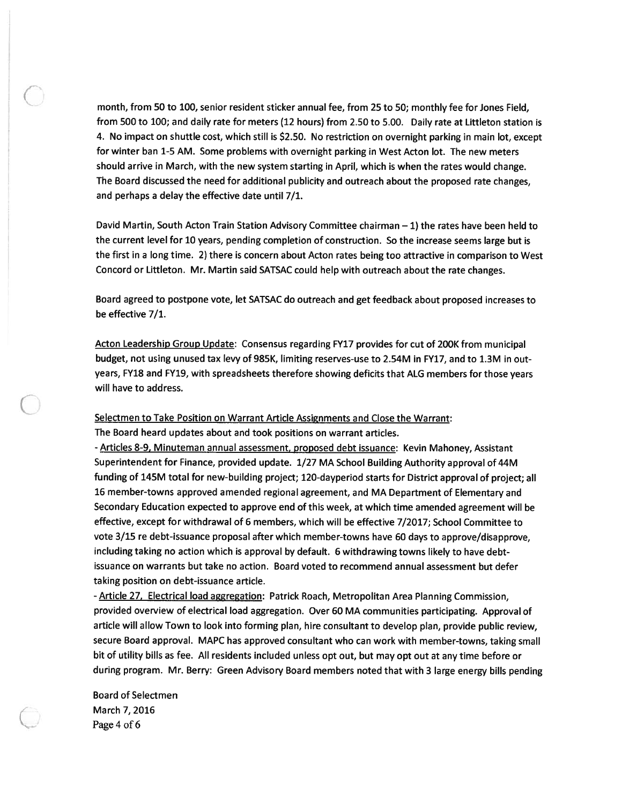month, from 50 to 100, senior resident sticker annual fee, from 25 to 50; monthly fee for Jones Field, from 500 to 100; and daily rate for meters (12 hours) from 2.50 to 5.00. Daily rate at Littleton station is 4. No impact on shuttle cost, which still is \$2.50. No restriction on overnight parking in main lot, excep<sup>t</sup> for winter ban 1-5 AM. Some problems with overnight parking in West Acton lot. The new meters should arrive in March, with the new system starting in April, which is when the rates would change. The Board discussed the need for additional publicity and outreach about the proposed rate changes, and perhaps <sup>a</sup> delay the effective date until 7/1.

David Martin, South Acton Train Station Advisory Committee chairman — 1) the rates have been held to the current level for 10 years, pending completion of construction. So the increase seems large but is the first in <sup>a</sup> long time. 2) there is concern about Acton rates being too attractive in comparison to West Concord or Littleton. Mr. Martin said SATSAC could help with outreach about the rate changes.

Board agreed to postpone vote, let SATSAC do outreach and ge<sup>t</sup> feedback about proposed increases to be effective 7/1.

Acton Leadership Group Update: Consensus regarding FY17 provides for cut of 200K from municipal budget, not using unused tax levy of 985K, limiting reserves-use to 2.54M in FY17, and to 1.3M in outyears, FY18 and FY19, with spreadsheets therefore showing deficits that ALG members for those years will have to address.

Selectmen to Take Position on Warrant Article Assignments and Close the Warrant:

The Board heard updates about and took positions on warrant articles.

- Articles 8-9, Minuteman annual assessment, proposed debt issuance: Kevin Mahoney, Assistant Superintendent for Finance, provided update. 1/27 MA School Building Authority approva<sup>l</sup> of 44M funding of 145M total for new-building project; 120-dayperiod starts for District approva<sup>l</sup> of project; all 16 member-towns approved amended regional agreement, and MA Department of Elementary and Secondary Education expected to approve end of this week, at which time amended agreemen<sup>t</sup> will be effective, excep<sup>t</sup> for withdrawal of 6 members, which will be effective 7/2017; School Committee to vote 3/15 re debt-issuance proposa<sup>l</sup> after which member-towns have 60 days to approve/disapprove, including taking no action which is approva<sup>l</sup> by default. <sup>6</sup> withdrawing towns likely to have debtissuance on warrants but take no action. Board voted to recommend annual assessment but defer taking position on debt-issuance article.

- Article 27, Electrical load aggregation: Patrick Roach, Metropolitan Area Planning Commission, provided overview of electrical load aggregation. Over 60 MA communities participating. Approval of article will allow Town to look into forming <sup>p</sup>lan, hire consultant to develop <sup>p</sup>lan, provide public review, secure Board approval. MAPC has approve<sup>d</sup> consultant who can work with member-towns, taking small bit of utility bills as fee. All residents included unless op<sup>t</sup> out, but may op<sup>t</sup> out at any time before or during program. Mr. Berry: Green Advisory Board members noted that with <sup>3</sup> large energy bills pending

Board of Selectmen March 7, 2016 Page 4 of 6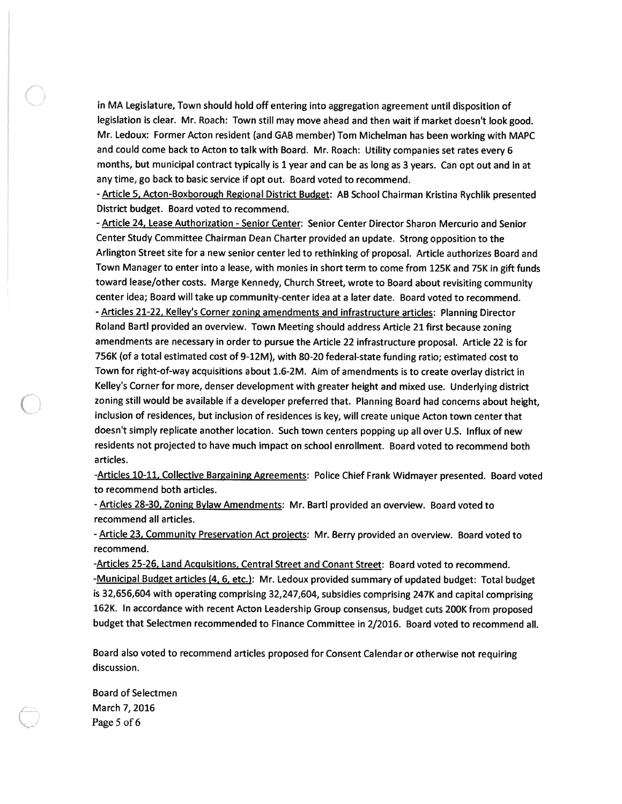in MA Legislature, Town should hold off entering into aggregation agreemen<sup>t</sup> until disposition of legislation is clear. Mr. Roach: Town still may move ahead and then wait if market doesn't look good. Mr. Ledoux: Former Acton resident (and GAB member) Tom Michelman has been working with MAPC and could come back to Acton to talk with Board. Mr. Roach: Utility companies set rates every <sup>6</sup> months, but municipal contract typically is <sup>1</sup> year and can be as long as <sup>3</sup> years. Can op<sup>t</sup> out and in at any time, go back to basic service if op<sup>t</sup> out. Board voted to recommend.

- Article 5, Acton-Boxborough Regional District Budget: AB School Chairman Kristina Rychlik presented District budget. Board voted to recommend.

- Article 24, Lease Authorization - Senior Center: Senior Center Director Sharon Mercurio and Senior Center Study Committee Chairman Dean Charter provided an update. Strong opposition to the Arlington Street site for <sup>a</sup> new senior center led to rethinking of proposal. Article authorizes Board and Town Manager to enter into <sup>a</sup> lease, with monies in short term to come from 125K and 75K in <sup>g</sup>ift funds toward lease/other costs. Marge Kennedy, Church Street, wrote to Board about revisiting community center idea; Board will take up community-center idea at <sup>a</sup> later date. Board voted to recommend. - Articles 21-22, Kelley's Corner zoning amendments and infrastructure articles: Planning Director Roland BartI provided an overview. Town Meeting should address Article <sup>21</sup> first because zoning amendments are necessary in order to pursue the Article <sup>22</sup> infrastructure proposal. Article <sup>22</sup> is for 756K (of <sup>a</sup> total estimated cost of 9-12M), with 80-20 federal-state funding ratio; estimated cost to Town for right-of-way acquisitions about 1.6-2M. Aim of amendments is to create overlay district in Kelley's Corner for more, denser development with greater height and mixed use. Underlying district zoning still would be available if <sup>a</sup> developer preferred that. Planning Board had concerns about height, inclusion of residences, but inclusion of residences is key, will create unique Acton town center that doesn't simply replicate another location. Such town centers popping up all over U.S. Influx of new residents not projected to have much impact on school enrollment. Board voted to recommend both articles.

-Articles 10-11, Collective Bargaining Agreements: Police Chief Frank Widmayer presented. Board voted to recommend both articles.

- Articles 28-30, Zoning Bylaw Amendments: Mr. Bartl provided an overview. Board voted to recommend all articles.

- Article 23, Community Preservation Act projects: Mr. Berry provided an overview. Board voted to recommend.

-Articles 25-26, Land Acquisitions, Central Street and Conant Street: Board voted to recommend. -Municipal Budget articles (4, 6, etc.): Mr. Ledoux provided summary of updated budget: Total budget is 32,656,604 with operating comprising 32,247,604, subsidies comprising 247K and capital comprising 162K. In accordance with recent Acton Leadership Group consensus, budget cuts 200K from propose<sup>d</sup> budget that Selectmen recommended to Finance Committee in 2/2016. Board voted to recommend all.

Board also voted to recommend articles propose<sup>d</sup> for Consent Calendar or otherwise not requiring discussion.

Board of Selectmen March 7, 2016 Page 5 of 6